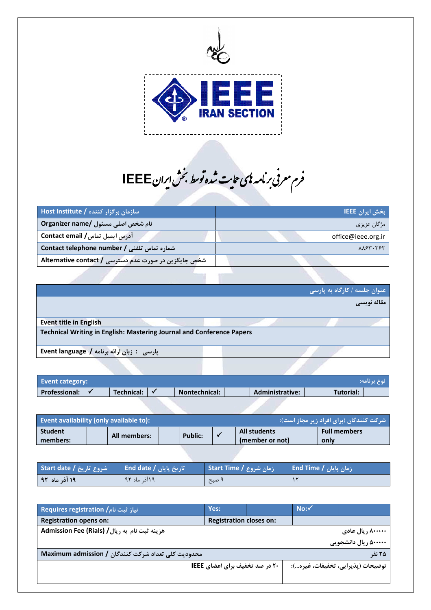

فرم معرفی برنامه نای فرم معرفی *بر*نامه <sup>ب</sup>ی حایت شده توسط بخش ایران IEEE İ

| ِ سازمان برگزار کننده / Host Institute               | ربخش ایران IEEE ا       |
|------------------------------------------------------|-------------------------|
| ِ نام شخص اصلی مسئول /Organizer name                 | مژگان عزیزی             |
| / آدرس ایمیل تماس <b>/ Contact email</b>             | office@ieee.org.ir      |
| شماره تماس تلفنی / Contact telephone number          | $\lambda\lambda$ ۶۳.۳۶۲ |
| شخص جایگزین در صورت عدم دسترسی / Alternative contact |                         |

|                                                                       |  | عنوان جلسه / کارگاه به پارسی |
|-----------------------------------------------------------------------|--|------------------------------|
|                                                                       |  | . مقاله نویسی                |
|                                                                       |  |                              |
| <b>Event title in English</b>                                         |  |                              |
| Technical Writing in English: Mastering Journal and Conference Papers |  |                              |
| پارسی : زبان ارائه برنامه / Event language                            |  |                              |

| <b>Event category:</b> |            |               |                        |           | مرنوع یرنامه: ﴿ |
|------------------------|------------|---------------|------------------------|-----------|-----------------|
| <b>Professional:</b>   | Technical: | Nontechnical: | <b>Administrative:</b> | Tutorial: |                 |

| Event availability (only available to): |              |         |                     | شرکت کنندگان (برای افراد زیر مجاز است): ۱ |  |
|-----------------------------------------|--------------|---------|---------------------|-------------------------------------------|--|
| <b>Student</b>                          | All members: | Public: | <b>All students</b> | <b>Full members</b>                       |  |
| members:                                |              |         | (member or not)     | only                                      |  |

| شروع تاريخ / Start date | ∥ تاریخ پایان / End date ∣ | ازمان شروع / Start Time | / زمان پایان / End Time |
|-------------------------|----------------------------|-------------------------|-------------------------|
| ۱۹ آذر ماه ۹۲           | ۱۹آذ, ماه ۹۲               | ۱۰ صبح ا                |                         |

| E انیاز ثبت نام / Requires registration       |                                                    | Yes: |                                       | No:~ |                                   |
|-----------------------------------------------|----------------------------------------------------|------|---------------------------------------|------|-----------------------------------|
| <b>Registration opens on:</b>                 |                                                    |      | <b>Registration closes on:</b>        |      |                                   |
| هزينه ثبت نام به ريال / Admission Fee (Rials) |                                                    |      |                                       |      | ۸۰۰۰۰۰۰ ریال عادی                 |
|                                               |                                                    |      |                                       |      | ۵۰۰۰۰۰ ریال دانشجویی              |
|                                               | محدوديت كلي تعداد شركت كنندگان / Maximum admission |      |                                       |      | ۲۵ نفر                            |
|                                               |                                                    |      | <b>20 در صد تخفیف برای اعضای IEEE</b> |      | توضيحات (پذيرايي، تخفيفات، غيره): |
|                                               |                                                    |      |                                       |      |                                   |